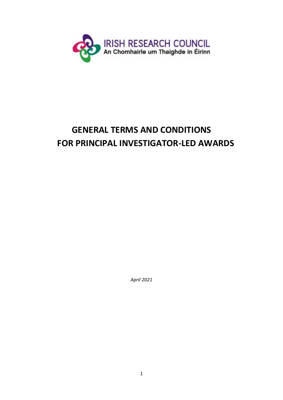

# **GENERAL TERMS AND CONDITIONS FOR PRINCIPAL INVESTIGATOR-LED AWARDS**

*April 2021*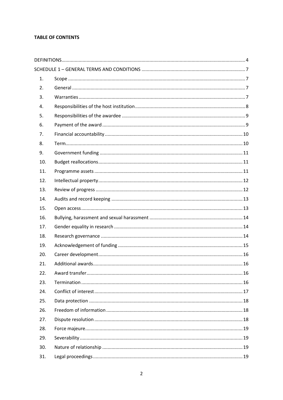# **TABLE OF CONTENTS**

| 1.  |  |
|-----|--|
| 2.  |  |
| 3.  |  |
| 4.  |  |
| 5.  |  |
| 6.  |  |
| 7.  |  |
| 8.  |  |
| 9.  |  |
| 10. |  |
| 11. |  |
| 12. |  |
| 13. |  |
| 14. |  |
| 15. |  |
| 16. |  |
| 17. |  |
| 18. |  |
|     |  |
| 19. |  |
| 20. |  |
| 21. |  |
| 22. |  |
| 23. |  |
| 24. |  |
| 25. |  |
| 26. |  |
| 27. |  |
| 28. |  |
| 29. |  |
| 30. |  |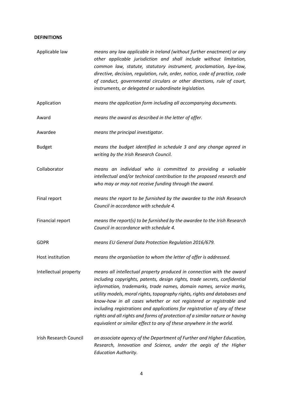### <span id="page-3-0"></span>**DEFINITIONS**

| Applicable law         | means any law applicable in Ireland (without further enactment) or any<br>other applicable jurisdiction and shall include without limitation,<br>common law, statute, statutory instrument, proclamation, bye-law,<br>directive, decision, regulation, rule, order, notice, code of practice, code<br>of conduct, governmental circulars or other directions, rule of court,<br>instruments, or delegated or subordinate legislation.                                                                                                                                                                          |
|------------------------|----------------------------------------------------------------------------------------------------------------------------------------------------------------------------------------------------------------------------------------------------------------------------------------------------------------------------------------------------------------------------------------------------------------------------------------------------------------------------------------------------------------------------------------------------------------------------------------------------------------|
| Application            | means the application form including all accompanying documents.                                                                                                                                                                                                                                                                                                                                                                                                                                                                                                                                               |
| Award                  | means the award as described in the letter of offer.                                                                                                                                                                                                                                                                                                                                                                                                                                                                                                                                                           |
| Awardee                | means the principal investigator.                                                                                                                                                                                                                                                                                                                                                                                                                                                                                                                                                                              |
| <b>Budget</b>          | means the budget identified in schedule 3 and any change agreed in<br>writing by the Irish Research Council.                                                                                                                                                                                                                                                                                                                                                                                                                                                                                                   |
| Collaborator           | means an individual who is committed to providing a valuable<br>intellectual and/or technical contribution to the proposed research and<br>who may or may not receive funding through the award.                                                                                                                                                                                                                                                                                                                                                                                                               |
| Final report           | means the report to be furnished by the awardee to the Irish Research<br>Council in accordance with schedule 4.                                                                                                                                                                                                                                                                                                                                                                                                                                                                                                |
| Financial report       | means the report(s) to be furnished by the awardee to the Irish Research<br>Council in accordance with schedule 4.                                                                                                                                                                                                                                                                                                                                                                                                                                                                                             |
| <b>GDPR</b>            | means EU General Data Protection Regulation 2016/679.                                                                                                                                                                                                                                                                                                                                                                                                                                                                                                                                                          |
| Host institution       | means the organisation to whom the letter of offer is addressed.                                                                                                                                                                                                                                                                                                                                                                                                                                                                                                                                               |
| Intellectual property  | means all intellectual property produced in connection with the award<br>including copyrights, patents, design rights, trade secrets, confidential<br>information, trademarks, trade names, domain names, service marks,<br>utility models, moral rights, topography rights, rights and databases and<br>know-how in all cases whether or not registered or registrable and<br>including registrations and applications for registration of any of these<br>rights and all rights and forms of protection of a similar nature or having<br>equivalent or similar effect to any of these anywhere in the world. |
| Irish Research Council | an associate agency of the Department of Further and Higher Education,<br>Research, Innovation and Science, under the aegis of the Higher<br><b>Education Authority.</b>                                                                                                                                                                                                                                                                                                                                                                                                                                       |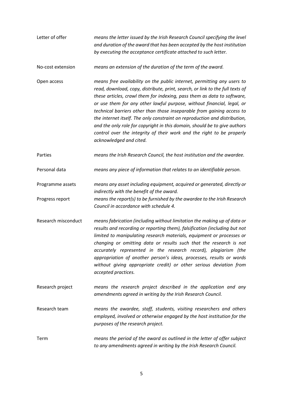Letter of offer *means the letter issued by the Irish Research Council specifying the level and duration of the award that has been accepted by the host institution by executing the acceptance certificate attached to such letter.*

No-cost extension *means an extension of the duration of the term of the award.*

- Open access *means free availability on the public internet, permitting any users to read, download, copy, distribute, print, search, or link to the full texts of these articles, crawl them for indexing, pass them as data to software, or use them for any other lawful purpose, without financial, legal, or technical barriers other than those inseparable from gaining access to the internet itself. The only constraint on reproduction and distribution, and the only role for copyright in this domain, should be to give authors control over the integrity of their work and the right to be properly acknowledged and cited.*
- Parties *means the Irish Research Council, the host institution and the awardee.*

Personal data *means any piece of information that relates to an identifiable person.*

- Programme assets *means any asset including equipment, acquired or generated, directly or indirectly with the benefit of the award.*
- Progress report *means the report(s) to be furnished by the awardee to the Irish Research Council in accordance with schedule 4.*
- Research misconduct *means fabrication (including without limitation the making up of data or results and recording or reporting them), falsification (including but not limited to manipulating research materials, equipment or processes or changing or omitting data or results such that the research is not accurately represented in the research record), plagiarism (the appropriation of another person's ideas, processes, results or words without giving appropriate credit) or other serious deviation from accepted practices.*
- Research project *means the research project described in the application and any amendments agreed in writing by the Irish Research Council.*
- Research team *means the awardee, staff, students, visiting researchers and others employed, involved or otherwise engaged by the host institution for the purposes of the research project.*
- Term *means the period of the award as outlined in the letter of offer subject to any amendments agreed in writing by the Irish Research Council.*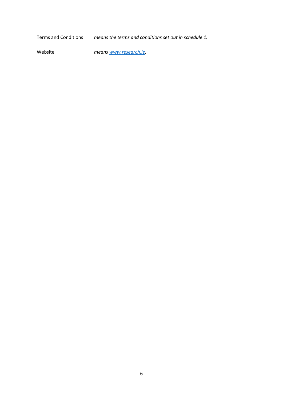Terms and Conditions *means the terms and conditions set out in schedule 1.*

Website *means [www.research.ie.](http://www.research.ie/)*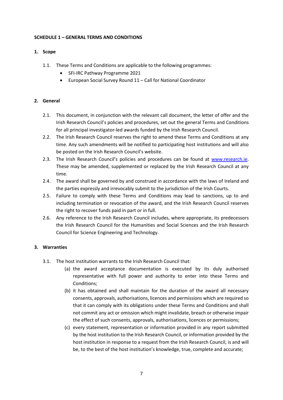### <span id="page-6-0"></span>**SCHEDULE 1 – GENERAL TERMS AND CONDITIONS**

# <span id="page-6-1"></span>**1. Scope**

- 1.1. These Terms and Conditions are applicable to the following programmes:
	- SFI-IRC Pathway Programme 2021
	- European Social Survey Round 11 Call for National Coordinator

# <span id="page-6-2"></span>**2. General**

- 2.1. This document, in conjunction with the relevant call document, the letter of offer and the Irish Research Council's policies and procedures, set out the general Terms and Conditions for all principal investigator-led awards funded by the Irish Research Council.
- 2.2. The Irish Research Council reserves the right to amend these Terms and Conditions at any time. Any such amendments will be notified to participating host institutions and will also be posted on the Irish Research Council's website.
- 2.3. The Irish Research Council's policies and procedures can be found at [www.research.ie.](http://www.research.ie/) These may be amended, supplemented or replaced by the Irish Research Council at any time.
- 2.4. The award shall be governed by and construed in accordance with the laws of Ireland and the parties expressly and irrevocably submit to the jurisdiction of the Irish Courts.
- 2.5. Failure to comply with these Terms and Conditions may lead to sanctions, up to and including termination or revocation of the award, and the Irish Research Council reserves the right to recover funds paid in part or in full.
- 2.6. Any reference to the Irish Research Council includes, where appropriate, its predecessors the Irish Research Council for the Humanities and Social Sciences and the Irish Research Council for Science Engineering and Technology.

# <span id="page-6-3"></span>**3. Warranties**

- 3.1. The host institution warrants to the Irish Research Council that:
	- (a) the award acceptance documentation is executed by its duly authorised representative with full power and authority to enter into these Terms and Conditions;
	- (b) it has obtained and shall maintain for the duration of the award all necessary consents, approvals, authorisations, licences and permissions which are required so that it can comply with its obligations under these Terms and Conditions and shall not commit any act or omission which might invalidate, breach or otherwise impair the effect of such consents, approvals, authorisations, licences or permissions;
	- (c) every statement, representation or information provided in any report submitted by the host institution to the Irish Research Council, or information provided by the host institution in response to a request from the Irish Research Council, is and will be, to the best of the host institution's knowledge, true, complete and accurate;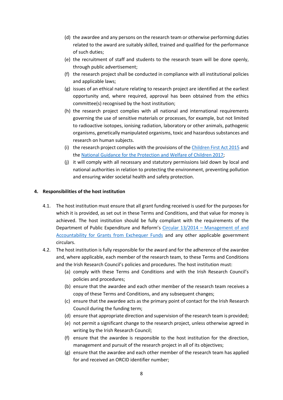- (d) the awardee and any persons on the research team or otherwise performing duties related to the award are suitably skilled, trained and qualified for the performance of such duties;
- (e) the recruitment of staff and students to the research team will be done openly, through public advertisement;
- (f) the research project shall be conducted in compliance with all institutional policies and applicable laws;
- (g) issues of an ethical nature relating to research project are identified at the earliest opportunity and, where required, approval has been obtained from the ethics committee(s) recognised by the host institution;
- (h) the research project complies with all national and international requirements governing the use of sensitive materials or processes, for example, but not limited to radioactive isotopes, ionising radiation, laboratory or other animals, pathogenic organisms, genetically manipulated organisms, toxic and hazardous substances and research on human subjects.
- (i) the research project complies with the provisions of the Children First Act 2015 and the National Guidance for the Protection and Welfare of Children 2017;
- (j) it will comply with all necessary and statutory permissions laid down by local and national authorities in relation to protecting the environment, preventing pollution and ensuring wider societal health and safety protection.

#### <span id="page-7-0"></span>**4. Responsibilities of the host institution**

- 4.1. The host institution must ensure that all grant funding received is used for the purposes for which it is provided, as set out in these Terms and Conditions, and that value for money is achieved. The host institution should be fully compliant with the requirements of the Department of Public Expenditure and Reform's Circular 13/2014 – [Management of and](https://www.gov.ie/en/circular/647e51a0e42d48fb92530e6204fa52ed/)  [Accountability for Grants from Exchequer Funds](https://www.gov.ie/en/circular/647e51a0e42d48fb92530e6204fa52ed/) and any other applicable government circulars.
- 4.2. The host institution is fully responsible for the award and for the adherence of the awardee and, where applicable, each member of the research team, to these Terms and Conditions and the Irish Research Council's policies and procedures. The host institution must:
	- (a) comply with these Terms and Conditions and with the Irish Research Council's policies and procedures;
	- (b) ensure that the awardee and each other member of the research team receives a copy of these Terms and Conditions, and any subsequent changes;
	- (c) ensure that the awardee acts as the primary point of contact for the Irish Research Council during the funding term;
	- (d) ensure that appropriate direction and supervision of the research team is provided;
	- (e) not permit a significant change to the research project, unless otherwise agreed in writing by the Irish Research Council;
	- (f) ensure that the awardee is responsible to the host institution for the direction, management and pursuit of the research project in all of its objectives;
	- (g) ensure that the awardee and each other member of the research team has applied for and received an ORCID identifier number;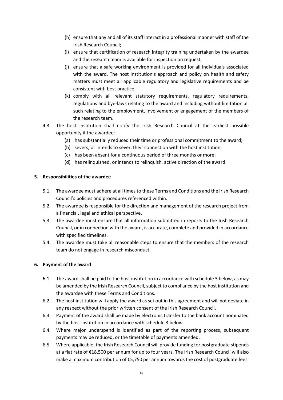- (h) ensure that any and all of its staff interact in a professional manner with staff of the Irish Research Council;
- (i) ensure that certification of research integrity training undertaken by the awardee and the research team is available for inspection on request;
- (j) ensure that a safe working environment is provided for all individuals associated with the award. The host institution's approach and policy on health and safety matters must meet all applicable regulatory and legislative requirements and be consistent with best practice;
- (k) comply with all relevant statutory requirements, regulatory requirements, regulations and bye-laws relating to the award and including without limitation all such relating to the employment, involvement or engagement of the members of the research team.
- 4.3. The host institution shall notify the Irish Research Council at the earliest possible opportunity if the awardee:
	- (a) has substantially reduced their time or professional commitment to the award;
	- (b) severs, or intends to sever, their connection with the host institution;
	- (c) has been absent for a continuous period of three months or more;
	- (d) has relinquished, or intends to relinquish, active direction of the award.

#### <span id="page-8-0"></span>**5. Responsibilities of the awardee**

- 5.1. The awardee must adhere at all times to these Terms and Conditions and the Irish Research Council's policies and procedures referenced within.
- 5.2. The awardee is responsible for the direction and management of the research project from a financial, legal and ethical perspective.
- 5.3. The awardee must ensure that all information submitted in reports to the Irish Research Council, or in connection with the award, is accurate, complete and provided in accordance with specified timelines.
- 5.4. The awardee must take all reasonable steps to ensure that the members of the research team do not engage in research misconduct.

# <span id="page-8-1"></span>**6. Payment of the award**

- 6.1. The award shall be paid to the host institution in accordance with schedule 3 below, as may be amended by the Irish Research Council, subject to compliance by the host institution and the awardee with these Terms and Conditions.
- 6.2. The host institution will apply the award as set out in this agreement and will not deviate in any respect without the prior written consent of the Irish Research Council.
- 6.3. Payment of the award shall be made by electronic transfer to the bank account nominated by the host institution in accordance with schedule 3 below.
- 6.4. Where major underspend is identified as part of the reporting process, subsequent payments may be reduced, or the timetable of payments amended.
- 6.5. Where applicable, the Irish Research Council will provide funding for postgraduate stipends at a flat rate of €18,500 per annum for up to four years. The Irish Research Council will also make a maximum contribution of €5,750 per annum towards the cost of postgraduate fees.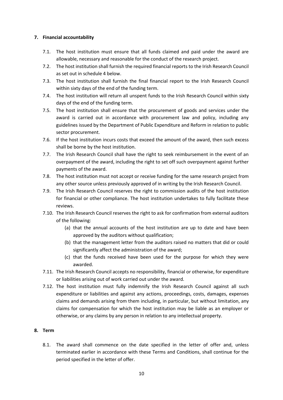# <span id="page-9-0"></span>**7. Financial accountability**

- 7.1. The host institution must ensure that all funds claimed and paid under the award are allowable, necessary and reasonable for the conduct of the research project.
- 7.2. The host institution shall furnish the required financial reports to the Irish Research Council as set out in schedule 4 below.
- 7.3. The host institution shall furnish the final financial report to the Irish Research Council within sixty days of the end of the funding term.
- 7.4. The host institution will return all unspent funds to the Irish Research Council within sixty days of the end of the funding term.
- 7.5. The host institution shall ensure that the procurement of goods and services under the award is carried out in accordance with procurement law and policy, including any guidelines issued by the Department of Public Expenditure and Reform in relation to public sector procurement.
- 7.6. If the host institution incurs costs that exceed the amount of the award, then such excess shall be borne by the host institution.
- 7.7. The Irish Research Council shall have the right to seek reimbursement in the event of an overpayment of the award, including the right to set off such overpayment against further payments of the award.
- 7.8. The host institution must not accept or receive funding for the same research project from any other source unless previously approved of in writing by the Irish Research Council.
- 7.9. The Irish Research Council reserves the right to commission audits of the host institution for financial or other compliance. The host institution undertakes to fully facilitate these reviews.
- 7.10. The Irish Research Council reserves the right to ask for confirmation from external auditors of the following:
	- (a) that the annual accounts of the host institution are up to date and have been approved by the auditors without qualification;
	- (b) that the management letter from the auditors raised no matters that did or could significantly affect the administration of the award;
	- (c) that the funds received have been used for the purpose for which they were awarded.
- 7.11. The Irish Research Council accepts no responsibility, financial or otherwise, for expenditure or liabilities arising out of work carried out under the award.
- 7.12. The host institution must fully indemnify the Irish Research Council against all such expenditure or liabilities and against any actions, proceedings, costs, damages, expenses claims and demands arising from them including, in particular, but without limitation, any claims for compensation for which the host institution may be liable as an employer or otherwise, or any claims by any person in relation to any intellectual property.

# <span id="page-9-1"></span>**8. Term**

8.1. The award shall commence on the date specified in the letter of offer and, unless terminated earlier in accordance with these Terms and Conditions, shall continue for the period specified in the letter of offer.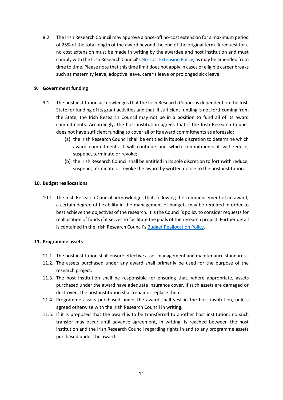8.2. The Irish Research Council may approve a once-off no-cost extension for a maximum period of 25% of the total length of the award beyond the end of the original term. A request for a no cost extension must be made in writing by the awardee and host institution and must comply with the Irish Research Council's [No-cost Extension Policy,](https://research.ie/assets/uploads/2020/09/IRC_No-Cost-Extension-Policy_Final.pdf) as may be amended from time to time. Please note that this time limit does not apply in cases of eligible career breaks such as maternity leave, adoptive leave, carer's leave or prolonged sick leave.

## <span id="page-10-0"></span>**9. Government funding**

- 9.1. The host institution acknowledges that the Irish Research Council is dependent on the Irish State for funding of its grant activities and that, if sufficient funding is not forthcoming from the State, the Irish Research Council may not be in a position to fund all of its award commitments. Accordingly, the host institution agrees that if the Irish Research Council does not have sufficient funding to cover all of its award commitments as aforesaid:
	- (a) the Irish Research Council shall be entitled in its sole discretion to determine which award commitments it will continue and which commitments it will reduce, suspend, terminate or revoke;
	- (b) the Irish Research Council shall be entitled in its sole discretion to forthwith reduce, suspend, terminate or revoke the award by written notice to the host institution.

#### <span id="page-10-1"></span>**10. Budget reallocations**

10.1. The Irish Research Council acknowledges that, following the commencement of an award, a certain degree of flexibility in the management of budgets may be required in order to best achieve the objectives of the research. It is the Council's policy to consider requests for reallocation of funds if it serves to facilitate the goals of the research project. Further detail is contained in the Irish Research Council's [Budget Reallocation Policy.](https://research.ie/assets/uploads/2020/09/IRC_Budget-Reallocations-Policy_Final.pdf)

#### <span id="page-10-2"></span>**11. Programme assets**

- 11.1. The host institution shall ensure effective asset management and maintenance standards.
- 11.2. The assets purchased under any award shall primarily be used for the purpose of the research project.
- 11.3. The host institution shall be responsible for ensuring that, where appropriate, assets purchased under the award have adequate insurance cover. If such assets are damaged or destroyed, the host institution shall repair or replace them.
- 11.4. Programme assets purchased under the award shall vest in the host institution, unless agreed otherwise with the Irish Research Council in writing.
- 11.5. If it is proposed that the award is to be transferred to another host institution, no such transfer may occur until advance agreement, in writing, is reached between the host institution and the Irish Research Council regarding rights in and to any programme assets purchased under the award.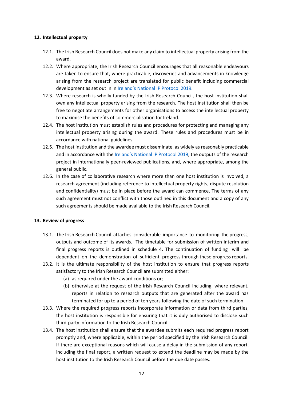#### <span id="page-11-0"></span>**12. Intellectual property**

- 12.1. The Irish Research Council does not make any claim to intellectual property arising from the award.
- 12.2. Where appropriate, the Irish Research Council encourages that all reasonable endeavours are taken to ensure that, where practicable, discoveries and advancements in knowledge arising from the research project are translated for public benefit including commercial development as set out in in Ireland's [National IP Protocol 2019.](https://www.knowledgetransferireland.com/Reports-Publications/Ireland-s-National-IP-Protocol-2019-.pdf)
- 12.3. Where research is wholly funded by the Irish Research Council, the host institution shall own any intellectual property arising from the research. The host institution shall then be free to negotiate arrangements for other organisations to access the intellectual property to maximise the benefits of commercialisation for Ireland.
- 12.4. The host institution must establish rules and procedures for protecting and managing any intellectual property arising during the award. These rules and procedures must be in accordance with national guidelines.
- 12.5. The host institution and the awardee must disseminate, as widely as reasonably practicable and in accordance with the [Ireland's National IP Protocol 2019](https://www.knowledgetransferireland.com/Reports-Publications/Ireland-s-National-IP-Protocol-2019-.pdf), the outputs of the research project in internationally peer-reviewed publications, and, where appropriate, among the general public.
- 12.6. In the case of collaborative research where more than one host institution is involved, a research agreement (including reference to intellectual property rights, dispute resolution and confidentiality) must be in place before the award can commence. The terms of any such agreement must not conflict with those outlined in this document and a copy of any such agreements should be made available to the Irish Research Council.

# <span id="page-11-1"></span>**13. Review of progress**

- 13.1. The Irish Research Council attaches considerable importance to monitoring the progress, outputs and outcome of its awards. The timetable for submission of written interim and final progress reports is outlined in schedule 4. The continuation of funding will be dependent on the demonstration of sufficient progress through these progress reports.
- 13.2. It is the ultimate responsibility of the host institution to ensure that progress reports satisfactory to the Irish Research Council are submitted either:
	- (a) as required under the award conditions or;
	- (b) otherwise at the request of the Irish Research Council including, where relevant, reports in relation to research outputs that are generated after the award has terminated for up to a period of ten years following the date of such termination.
- 13.3. Where the required progress reports incorporate information or data from third parties, the host institution is responsible for ensuring that it is duly authorised to disclose such third-party information to the Irish Research Council.
- 13.4. The host institution shall ensure that the awardee submits each required progress report promptly and, where applicable, within the period specified by the Irish Research Council. If there are exceptional reasons which will cause a delay in the submission of any report, including the final report, a written request to extend the deadline may be made by the host institution to the Irish Research Council before the due date passes.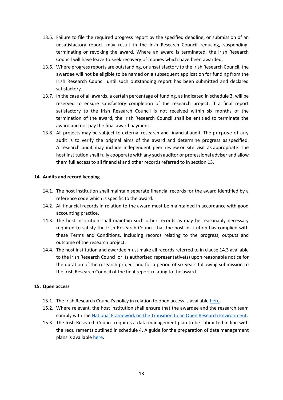- 13.5. Failure to file the required progress report by the specified deadline, or submission of an unsatisfactory report, may result in the Irish Research Council reducing, suspending, terminating or revoking the award. Where an award is terminated, the Irish Research Council will have leave to seek recovery of monies which have been awarded.
- 13.6. Where progress reports are outstanding, or unsatisfactory to the Irish Research Council, the awardee will not be eligible to be named on a subsequent application for funding from the Irish Research Council until such outstanding report has been submitted and declared satisfactory.
- 13.7. In the case of all awards, a certain percentage of funding, as indicated in schedule 3, will be reserved to ensure satisfactory completion of the research project. If a final report satisfactory to the Irish Research Council is not received within six months of the termination of the award, the Irish Research Council shall be entitled to terminate the award and not pay the final award payment.
- 13.8. All projects may be subject to external research and financial audit. The purpose of any audit is to verify the original aims of the award and determine progress as specified. A research audit may include independent peer review or site visit as appropriate. The host institution shall fully cooperate with any such auditor or professional adviser and allow them full access to all financial and other records referred to in section 13.

#### <span id="page-12-0"></span>**14. Audits and record keeping**

- 14.1. The host institution shall maintain separate financial records for the award identified by a reference code which is specific to the award.
- 14.2. All financial records in relation to the award must be maintained in accordance with good accounting practice.
- 14.3. The host institution shall maintain such other records as may be reasonably necessary required to satisfy the Irish Research Council that the host institution has complied with these Terms and Conditions, including records relating to the progress, outputs and outcome of the research project.
- 14.4. The host institution and awardee must make all records referred to in clause 14.3 available to the Irish Research Council or its authorised representative(s) upon reasonable notice for the duration of the research project and for a period of six years following submission to the Irish Research Council of the final report relating to the award.

#### <span id="page-12-1"></span>**15. Open access**

- 15.1. The Irish Research Council's policy in relation to open access is available [here.](https://research.ie/assets/uploads/2017/05/irc_open_access_policy_final_1.pdf)
- 15.2. Where relevant, the host institution shall ensure that the awardee and the research team comply with the [National Framework on the Transition to an Open Research Environment.](https://repository.dri.ie/catalog/0287dj04d)
- 15.3. The Irish Research Council requires a data management plan to be submitted in line with the requirements outlined in schedule 4. A guide for the preparation of data management plans is available here.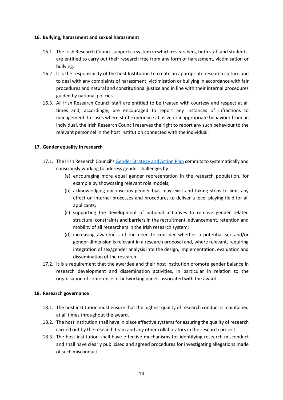#### <span id="page-13-0"></span>**16. Bullying, harassment and sexual harassment**

- 16.1. The Irish Research Council supports a system in which researchers, both staff and students, are entitled to carry out their research free from any form of harassment, victimisation or bullying.
- 16.2. It is the responsibility of the host Institution to create an appropriate research culture and to deal with any complaints of harassment, victimisation or bullying in accordance with fair procedures and natural and constitutional justice and in line with their internal procedures guided by national policies.
- 16.3. All Irish Research Council staff are entitled to be treated with courtesy and respect at all times and, accordingly, are encouraged to report any instances of infractions to management. In cases where staff experience abusive or inappropriate behaviour from an individual, the Irish Research Council reserves the right to report any such behaviour to the relevant personnel in the host institution connected with the individual.

# <span id="page-13-1"></span>**17. Gender equality in research**

- 17.1. The Irish Research Council's [Gender Strategy and Action Plan](https://research.ie/resources/publications/gender-strategy-and-action-plan-2013-2020/) commits to systematically and consciously working to address gender challenges by:
	- (a) encouraging more equal gender representation in the research population, for example by showcasing relevant role models;
	- (b) acknowledging unconscious gender bias may exist and taking steps to limit any effect on internal processes and procedures to deliver a level playing field for all applicants;
	- (c) supporting the development of national initiatives to remove gender related structural constraints and barriers in the recruitment, advancement, retention and mobility of all researchers in the Irish research system;
	- (d) increasing awareness of the need to consider whether a potential sex and/or gender dimension is relevant in a research proposal and, where relevant, requiring integration of sex/gender analysis into the design, implementation, evaluation and dissemination of the research.
- 17.2. It is a requirement that the awardee and their host institution promote gender balance in research development and dissemination activities, in particular in relation to the organisation of conference or networking panels associated with the award.

# <span id="page-13-2"></span>**18. Research governance**

- 18.1. The host institution must ensure that the highest quality of research conduct is maintained at all times throughout the award.
- 18.2. The host institution shall have in place effective systems for assuring the quality of research carried out by the research team and any other collaborators in the research project.
- 18.3. The host institution shall have effective mechanisms for identifying research misconduct and shall have clearly publicised and agreed procedures for investigating allegations made of such misconduct.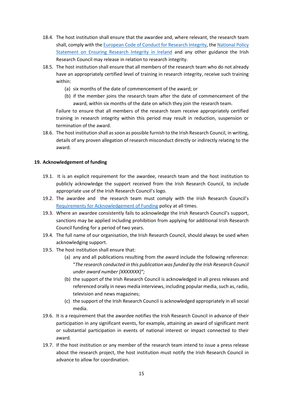- 18.4. The host institution shall ensure that the awardee and, where relevant, the research team shall, comply with th[e European Code of Conduct for Research Integrity,](https://www.allea.org/wp-content/uploads/2017/05/ALLEA-European-Code-of-Conduct-for-Research-Integrity-2017.pdf) the [National Policy](https://www.iua.ie/wp-content/uploads/2019/08/IUA_Research_Integrity_in_Ireland_Report_2019.pdf)  [Statement on Ensuring Research Integrity in Ireland](https://www.iua.ie/wp-content/uploads/2019/08/IUA_Research_Integrity_in_Ireland_Report_2019.pdf) and any other guidance the Irish Research Council may release in relation to research integrity.
- 18.5. The host institution shall ensure that all members of the research team who do not already have an appropriately certified level of training in research integrity, receive such training within:
	- (a) six months of the date of commencement of the award; or
	- (b) if the member joins the research team after the date of commencement of the award, within six months of the date on which they join the research team.

Failure to ensure that all members of the research team receive appropriately certified training in research integrity within this period may result in reduction, suspension or termination of the award.

18.6. The host institution shall as soon as possible furnish to the Irish Research Council, in writing, details of any proven allegation of research misconduct directly or indirectly relating to the award.

# <span id="page-14-0"></span>**19. Acknowledgement of funding**

- 19.1. It is an explicit requirement for the awardee, research team and the host institution to publicly acknowledge the support received from the Irish Research Council, to include appropriate use of the Irish Research Council's logo.
- 19.2. The awardee and the research team must comply with the Irish Research Council's [Requirements for Acknowledgement of Funding](https://research.ie/assets/uploads/2017/05/Requirements-for-acknowledgement-of-Irish-Research-Council-support-UPDATE.pdf) policy at all times.
- 19.3. Where an awardee consistently fails to acknowledge the Irish Research Council's support, sanctions may be applied including prohibition from applying for additional Irish Research Council funding for a period of two years.
- 19.4. The full name of our organisation, the Irish Research Council, should always be used when acknowledging support.
- 19.5. The host institution shall ensure that:
	- (a) any and all publications resulting from the award include the following reference: "*The research conducted in this publication was funded by the Irish Research Council under award number [XXXXXXX]";*
	- (b) the support of the Irish Research Council is acknowledged in all press releases and referenced orally in news media interviews, including popular media, such as, radio, television and news magazines;
	- (c) the support of the Irish Research Council is acknowledged appropriately in all social media.
- 19.6. It is a requirement that the awardee notifies the Irish Research Council in advance of their participation in any significant events, for example, attaining an award of significant merit or substantial participation in events of national interest or impact connected to their award.
- 19.7. If the host institution or any member of the research team intend to issue a press release about the research project, the host institution must notify the Irish Research Council in advance to allow for coordination.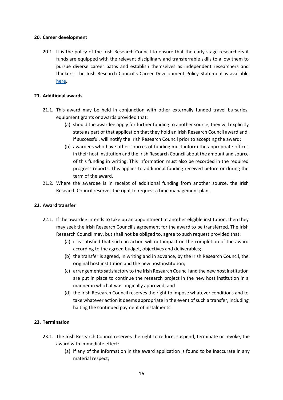#### <span id="page-15-0"></span>**20. Career development**

20.1. It is the policy of the Irish Research Council to ensure that the early-stage researchers it funds are equipped with the relevant disciplinary and transferrable skills to allow them to pursue diverse career paths and establish themselves as independent researchers and thinkers. The Irish Research Council's Career Development Policy Statement is available [here.](https://research.ie/assets/uploads/2017/05/IRC-Researcher-Career-Development-Policy-Statement_29Sept2017.pdf)

## <span id="page-15-1"></span>**21. Additional awards**

- 21.1. This award may be held in conjunction with other externally funded travel bursaries, equipment grants or awards provided that:
	- (a) should the awardee apply for further funding to another source, they will explicitly state as part of that application that they hold an Irish Research Council award and, if successful, will notify the Irish Research Council prior to accepting the award;
	- (b) awardees who have other sources of funding must inform the appropriate offices in their host institution and the Irish Research Council about the amount and source of this funding in writing. This information must also be recorded in the required progress reports. This applies to additional funding received before or during the term of the award.
- 21.2. Where the awardee is in receipt of additional funding from another source, the Irish Research Council reserves the right to request a time management plan.

# <span id="page-15-2"></span>**22. Award transfer**

- 22.1. If the awardee intends to take up an appointment at another eligible institution, then they may seek the Irish Research Council's agreement for the award to be transferred. The Irish Research Council may, but shall not be obliged to, agree to such request provided that:
	- (a) it is satisfied that such an action will not impact on the completion of the award according to the agreed budget, objectives and deliverables;
	- (b) the transfer is agreed, in writing and in advance, by the Irish Research Council, the original host institution and the new host institution;
	- (c) arrangements satisfactory to the Irish Research Council and the new host institution are put in place to continue the research project in the new host institution in a manner in which it was originally approved; and
	- (d) the Irish Research Council reserves the right to impose whatever conditions and to take whatever action it deems appropriate in the event of such a transfer, including halting the continued payment of instalments.

# <span id="page-15-3"></span>**23. Termination**

- 23.1. The Irish Research Council reserves the right to reduce, suspend, terminate or revoke, the award with immediate effect:
	- (a) if any of the information in the award application is found to be inaccurate in any material respect;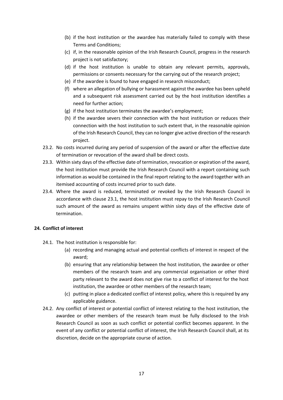- (b) if the host institution or the awardee has materially failed to comply with these Terms and Conditions;
- (c) if, in the reasonable opinion of the Irish Research Council, progress in the research project is not satisfactory;
- (d) if the host institution is unable to obtain any relevant permits, approvals, permissions or consents necessary for the carrying out of the research project;
- (e) if the awardee is found to have engaged in research misconduct;
- (f) where an allegation of bullying or harassment against the awardee has been upheld and a subsequent risk assessment carried out by the host institution identifies a need for further action;
- (g) if the host institution terminates the awardee's employment;
- (h) if the awardee severs their connection with the host institution or reduces their connection with the host institution to such extent that, in the reasonable opinion of the Irish Research Council, they can no longer give active direction of the research project.
- 23.2. No costs incurred during any period of suspension of the award or after the effective date of termination or revocation of the award shall be direct costs.
- 23.3. Within sixty days of the effective date of termination, revocation or expiration of the award, the host institution must provide the Irish Research Council with a report containing such information as would be contained in the final report relating to the award together with an itemised accounting of costs incurred prior to such date.
- 23.4. Where the award is reduced, terminated or revoked by the Irish Research Council in accordance with clause 23.1, the host institution must repay to the Irish Research Council such amount of the award as remains unspent within sixty days of the effective date of termination.

# <span id="page-16-0"></span>**24. Conflict of interest**

- 24.1. The host institution is responsible for:
	- (a) recording and managing actual and potential conflicts of interest in respect of the award;
	- (b) ensuring that any relationship between the host institution, the awardee or other members of the research team and any commercial organisation or other third party relevant to the award does not give rise to a conflict of interest for the host institution, the awardee or other members of the research team;
	- (c) putting in place a dedicated conflict of interest policy, where this is required by any applicable guidance.
- 24.2. Any conflict of interest or potential conflict of interest relating to the host institution, the awardee or other members of the research team must be fully disclosed to the Irish Research Council as soon as such conflict or potential conflict becomes apparent. In the event of any conflict or potential conflict of interest, the Irish Research Council shall, at its discretion, decide on the appropriate course of action.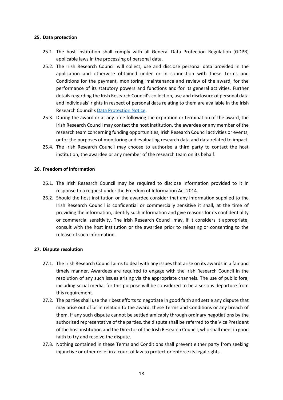#### <span id="page-17-0"></span>**25. Data protection**

- 25.1. The host institution shall comply with all General Data Protection Regulation (GDPR) applicable laws in the processing of personal data.
- 25.2. The Irish Research Council will collect, use and disclose personal data provided in the application and otherwise obtained under or in connection with these Terms and Conditions for the payment, monitoring, maintenance and review of the award, for the performance of its statutory powers and functions and for its general activities. Further details regarding the Irish Research Council's collection, use and disclosure of personal data and individuals' rights in respect of personal data relating to them are available in the Irish Research Council's [Data Protection Notice.](https://research.ie/assets/uploads/2017/05/IRC-Data-Protection-Notice-April-2020.pdf)
- 25.3. During the award or at any time following the expiration or termination of the award, the Irish Research Council may contact the host institution, the awardee or any member of the research team concerning funding opportunities, Irish Research Council activities or events, or for the purposes of monitoring and evaluating research data and data related to impact.
- 25.4. The Irish Research Council may choose to authorise a third party to contact the host institution, the awardee or any member of the research team on its behalf.

#### <span id="page-17-1"></span>**26. Freedom of information**

- 26.1. The Irish Research Council may be required to disclose information provided to it in response to a request under the Freedom of Information Act 2014.
- 26.2. Should the host institution or the awardee consider that any information supplied to the Irish Research Council is confidential or commercially sensitive it shall, at the time of providing the information, identify such information and give reasons for its confidentiality or commercial sensitivity. The Irish Research Council may, if it considers it appropriate, consult with the host institution or the awardee prior to releasing or consenting to the release of such information.

# <span id="page-17-2"></span>**27. Dispute resolution**

- 27.1. The Irish Research Council aims to deal with any issues that arise on its awards in a fair and timely manner. Awardees are required to engage with the Irish Research Council in the resolution of any such issues arising via the appropriate channels. The use of public fora, including social media, for this purpose will be considered to be a serious departure from this requirement.
- 27.2. The parties shall use their best efforts to negotiate in good faith and settle any dispute that may arise out of or in relation to the award, these Terms and Conditions or any breach of them. If any such dispute cannot be settled amicably through ordinary negotiations by the authorised representative of the parties, the dispute shall be referred to the Vice President of the host institution and the Director of the Irish Research Council, who shall meet in good faith to try and resolve the dispute.
- 27.3. Nothing contained in these Terms and Conditions shall prevent either party from seeking injunctive or other relief in a court of law to protect or enforce its legal rights.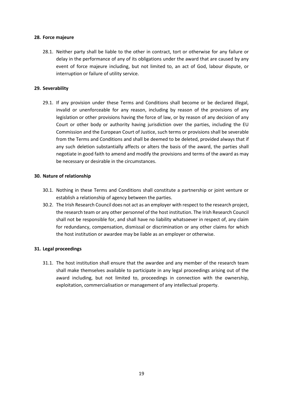#### <span id="page-18-0"></span>**28. Force majeure**

28.1. Neither party shall be liable to the other in contract, tort or otherwise for any failure or delay in the performance of any of its obligations under the award that are caused by any event of force majeure including, but not limited to, an act of God, labour dispute, or interruption or failure of utility service.

## <span id="page-18-1"></span>**29. Severability**

29.1. If any provision under these Terms and Conditions shall become or be declared illegal, invalid or unenforceable for any reason, including by reason of the provisions of any legislation or other provisions having the force of law, or by reason of any decision of any Court or other body or authority having jurisdiction over the parties, including the EU Commission and the European Court of Justice, such terms or provisions shall be severable from the Terms and Conditions and shall be deemed to be deleted, provided always that if any such deletion substantially affects or alters the basis of the award, the parties shall negotiate in good faith to amend and modify the provisions and terms of the award as may be necessary or desirable in the circumstances.

#### <span id="page-18-2"></span>**30. Nature of relationship**

- 30.1. Nothing in these Terms and Conditions shall constitute a partnership or joint venture or establish a relationship of agency between the parties.
- 30.2. The Irish Research Council does not act as an employer with respect to the research project, the research team or any other personnel of the host institution. The Irish Research Council shall not be responsible for, and shall have no liability whatsoever in respect of, any claim for redundancy, compensation, dismissal or discrimination or any other claims for which the host institution or awardee may be liable as an employer or otherwise.

# <span id="page-18-3"></span>**31. Legal proceedings**

31.1. The host institution shall ensure that the awardee and any member of the research team shall make themselves available to participate in any legal proceedings arising out of the award including, but not limited to, proceedings in connection with the ownership, exploitation, commercialisation or management of any intellectual property.